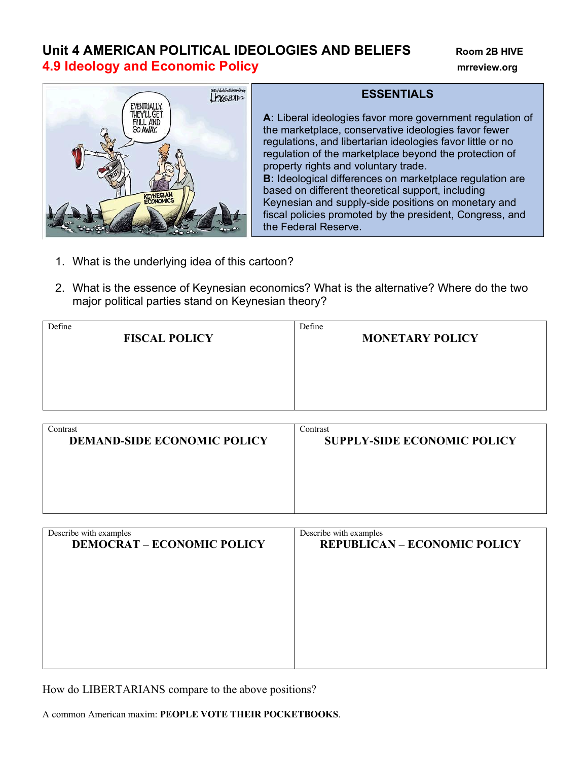## **Unit 4 AMERICAN POLITICAL IDEOLOGIES AND BELIEFS** Room 2B HIVE **4.9 Ideology and Economic Policy mrreview.org**



## **ESSENTIALS**

**A:** Liberal ideologies favor more government regulation of the marketplace, conservative ideologies favor fewer regulations, and libertarian ideologies favor little or no regulation of the marketplace beyond the protection of property rights and voluntary trade. **B:** Ideological differences on marketplace regulation are based on different theoretical support, including Keynesian and supply-side positions on monetary and fiscal policies promoted by the president, Congress, and the Federal Reserve.

- 1. What is the underlying idea of this cartoon?
- 2. What is the essence of Keynesian economics? What is the alternative? Where do the two major political parties stand on Keynesian theory?

| Define                             | Define                             |
|------------------------------------|------------------------------------|
| <b>FISCAL POLICY</b>               | <b>MONETARY POLICY</b>             |
|                                    |                                    |
|                                    |                                    |
|                                    |                                    |
|                                    |                                    |
|                                    |                                    |
|                                    |                                    |
| Contrast                           | Contrast                           |
| <b>DEMAND-SIDE ECONOMIC POLICY</b> | <b>SUPPLY-SIDE ECONOMIC POLICY</b> |
|                                    |                                    |
|                                    |                                    |
|                                    |                                    |

| Describe with examples            | Describe with examples              |
|-----------------------------------|-------------------------------------|
| <b>DEMOCRAT - ECONOMIC POLICY</b> | <b>REPUBLICAN - ECONOMIC POLICY</b> |
|                                   |                                     |
|                                   |                                     |
|                                   |                                     |
|                                   |                                     |
|                                   |                                     |
|                                   |                                     |
|                                   |                                     |

How do LIBERTARIANS compare to the above positions?

A common American maxim: **PEOPLE VOTE THEIR POCKETBOOKS**.